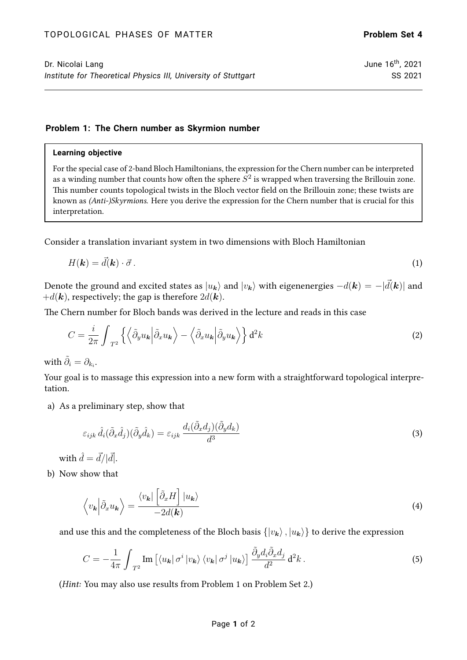# Dr. Nicolai Lang June 16<sup>th</sup>, 2021 *Institute for Theoretical Physics III, University of Stuttgart* Sex Studies SS 2021

## **Problem 1: The Chern number as Skyrmion number**

#### **Learning objective**

For the special case of 2-band Bloch Hamiltonians, the expression for the Chern number can be interpreted as a winding number that counts how often the sphere  $S^2$  is wrapped when traversing the Brillouin zone. This number counts topological twists in the Bloch vector field on the Brillouin zone; these twists are known as (Anti-)Skyrmions. Here you derive the expression for the Chern number that is crucial for this interpretation.

Consider a translation invariant system in two dimensions with Bloch Hamiltonian

$$
H(\mathbf{k}) = \vec{d}(\mathbf{k}) \cdot \vec{\sigma} \,. \tag{1}
$$

Denote the ground and excited states as  $|u_{\bf k}\rangle$  and  $|v_{\bf k}\rangle$  with eigenenergies  $-d({\bf k}) = -|\vec d({\bf k})|$  and  $+d(\mathbf{k})$ , respectively; the gap is therefore  $2d(\mathbf{k})$ .

The Chern number for Bloch bands was derived in the lecture and reads in this case

$$
C = \frac{i}{2\pi} \int_{T^2} \left\{ \left\langle \tilde{\partial}_y u_{\mathbf{k}} \middle| \tilde{\partial}_x u_{\mathbf{k}} \right\rangle - \left\langle \tilde{\partial}_x u_{\mathbf{k}} \middle| \tilde{\partial}_y u_{\mathbf{k}} \right\rangle \right\} d^2 k \tag{2}
$$

with  $\tilde{\partial}_i = \partial_{k_i}$ .

Your goal is to massage this expression into a new form with a straightforward topological interpretation.

a) As a preliminary step, show that

$$
\varepsilon_{ijk}\,\hat{d}_i(\tilde{\partial}_x\hat{d}_j)(\tilde{\partial}_y\hat{d}_k) = \varepsilon_{ijk}\,\frac{d_i(\tilde{\partial}_x d_j)(\tilde{\partial}_y d_k)}{d^3} \tag{3}
$$

with  $\hat{d} = \vec{d}/|\vec{d}|$ .

b) Now show that

$$
\left\langle v_{\mathbf{k}} \middle| \tilde{\partial}_x u_{\mathbf{k}} \right\rangle = \frac{\left\langle v_{\mathbf{k}} \middle| \left[ \tilde{\partial}_x H \right] \middle| u_{\mathbf{k}} \right\rangle}{-2d(\mathbf{k})} \tag{4}
$$

and use this and the completeness of the Bloch basis  $\{|v_{k}\rangle, |u_{k}\rangle\}$  to derive the expression

$$
C = -\frac{1}{4\pi} \int_{T^2} \text{Im} \left[ \langle u_{\mathbf{k}} | \sigma^i | v_{\mathbf{k}} \rangle \langle v_{\mathbf{k}} | \sigma^j | u_{\mathbf{k}} \rangle \right] \frac{\tilde{\partial}_y d_i \tilde{\partial}_x d_j}{d^2} d^2 k \,. \tag{5}
$$

(Hint: You may also use results from Problem 1 on Problem Set 2.)